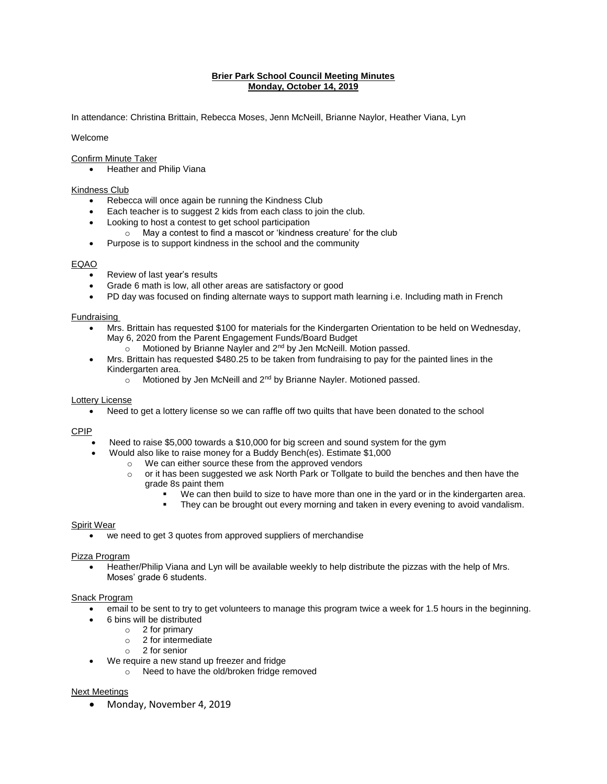# **Brier Park School Council Meeting Minutes Monday, October 14, 2019**

In attendance: Christina Brittain, Rebecca Moses, Jenn McNeill, Brianne Naylor, Heather Viana, Lyn

# Welcome

# Confirm Minute Taker

• Heather and Philip Viana

### Kindness Club

- Rebecca will once again be running the Kindness Club
- Each teacher is to suggest 2 kids from each class to join the club.
- Looking to host a contest to get school participation
	- o May a contest to find a mascot or 'kindness creature' for the club
- Purpose is to support kindness in the school and the community

#### EQAO

- Review of last year's results
- Grade 6 math is low, all other areas are satisfactory or good
- PD day was focused on finding alternate ways to support math learning i.e. Including math in French

#### Fundraising

- Mrs. Brittain has requested \$100 for materials for the Kindergarten Orientation to be held on Wednesday, May 6, 2020 from the Parent Engagement Funds/Board Budget
	- o Motioned by Brianne Nayler and 2<sup>nd</sup> by Jen McNeill. Motion passed.
- Mrs. Brittain has requested \$480.25 to be taken from fundraising to pay for the painted lines in the Kindergarten area.
	- $\circ$  Motioned by Jen McNeill and  $2^{nd}$  by Brianne Nayler. Motioned passed.

#### Lottery License

Need to get a lottery license so we can raffle off two quilts that have been donated to the school

#### CPIP

- Need to raise \$5,000 towards a \$10,000 for big screen and sound system for the gym
- Would also like to raise money for a Buddy Bench(es). Estimate \$1,000
	- o We can either source these from the approved vendors
		- o or it has been suggested we ask North Park or Tollgate to build the benches and then have the grade 8s paint them
			- We can then build to size to have more than one in the yard or in the kindergarten area.
			- They can be brought out every morning and taken in every evening to avoid vandalism.

#### Spirit Wear

we need to get 3 quotes from approved suppliers of merchandise

#### Pizza Program

 Heather/Philip Viana and Lyn will be available weekly to help distribute the pizzas with the help of Mrs. Moses' grade 6 students.

#### Snack Program

- email to be sent to try to get volunteers to manage this program twice a week for 1.5 hours in the beginning.
- 6 bins will be distributed
	- o 2 for primary
	- o 2 for intermediate
	- o 2 for senior
- We require a new stand up freezer and fridge
	- o Need to have the old/broken fridge removed

#### Next Meetings

Monday, November 4, 2019